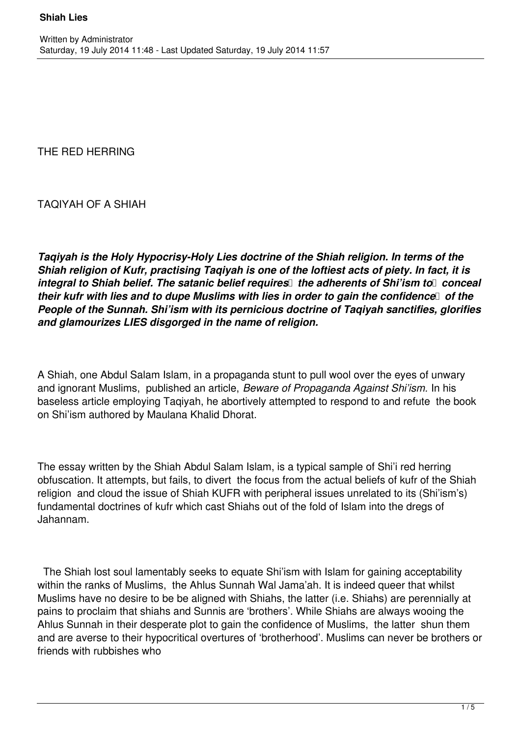THE RED HERRING

TAQIYAH OF A SHIAH

*Taqiyah is the Holy Hypocrisy-Holy Lies doctrine of the Shiah religion. In terms of the Shiah religion of Kufr, practising Taqiyah is one of the loftiest acts of piety. In fact, it is integral to Shiah belief. The satanic belief requires the adherents of Shi'ism to conceal their kufr with lies and to dupe Muslims with lies in order to gain the confidence of the People of the Sunnah. Shi'ism with its pernicious doctrine of Taqiyah sanctifies, glorifies and glamourizes LIES disgorged in the name of religion.*

A Shiah, one Abdul Salam Islam, in a propaganda stunt to pull wool over the eyes of unwary and ignorant Muslims, published an article, *Beware of Propaganda Against Shi'ism.* In his baseless article employing Taqiyah, he abortively attempted to respond to and refute the book on Shi'ism authored by Maulana Khalid Dhorat.

The essay written by the Shiah Abdul Salam Islam, is a typical sample of Shi'i red herring obfuscation. It attempts, but fails, to divert the focus from the actual beliefs of kufr of the Shiah religion and cloud the issue of Shiah KUFR with peripheral issues unrelated to its (Shi'ism's) fundamental doctrines of kufr which cast Shiahs out of the fold of Islam into the dregs of Jahannam.

 The Shiah lost soul lamentably seeks to equate Shi'ism with Islam for gaining acceptability within the ranks of Muslims, the Ahlus Sunnah Wal Jama'ah. It is indeed queer that whilst Muslims have no desire to be be aligned with Shiahs, the latter (i.e. Shiahs) are perennially at pains to proclaim that shiahs and Sunnis are 'brothers'. While Shiahs are always wooing the Ahlus Sunnah in their desperate plot to gain the confidence of Muslims, the latter shun them and are averse to their hypocritical overtures of 'brotherhood'. Muslims can never be brothers or friends with rubbishes who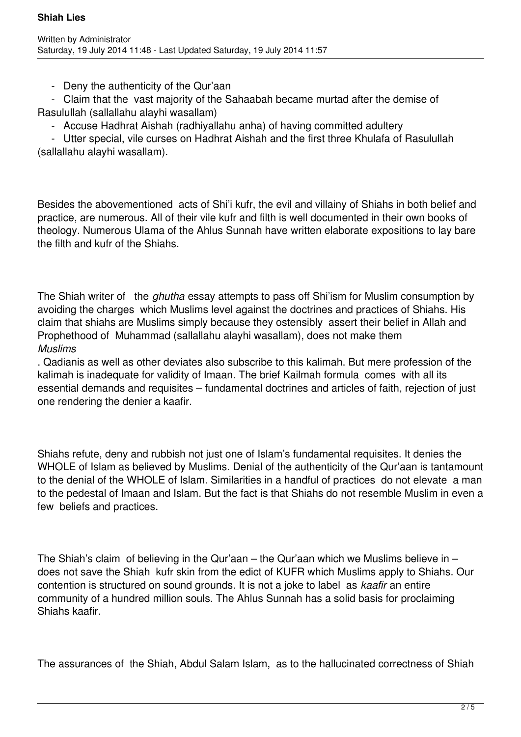- Deny the authenticity of the Qur'aan

 - Claim that the vast majority of the Sahaabah became murtad after the demise of Rasulullah (sallallahu alayhi wasallam)

- Accuse Hadhrat Aishah (radhiyallahu anha) of having committed adultery

 - Utter special, vile curses on Hadhrat Aishah and the first three Khulafa of Rasulullah (sallallahu alayhi wasallam).

Besides the abovementioned acts of Shi'i kufr, the evil and villainy of Shiahs in both belief and practice, are numerous. All of their vile kufr and filth is well documented in their own books of theology. Numerous Ulama of the Ahlus Sunnah have written elaborate expositions to lay bare the filth and kufr of the Shiahs.

The Shiah writer of the *ghutha* essay attempts to pass off Shi'ism for Muslim consumption by avoiding the charges which Muslims level against the doctrines and practices of Shiahs. His claim that shiahs are Muslims simply because they ostensibly assert their belief in Allah and Prophethood of Muhammad (sallallahu alayhi wasallam), does not make them *Muslims*

. Qadianis as well as other deviates also subscribe to this kalimah. But mere profession of the kalimah is inadequate for validity of Imaan. The brief Kailmah formula comes with all its essential demands and requisites – fundamental doctrines and articles of faith, rejection of just one rendering the denier a kaafir.

Shiahs refute, deny and rubbish not just one of Islam's fundamental requisites. It denies the WHOLE of Islam as believed by Muslims. Denial of the authenticity of the Qur'aan is tantamount to the denial of the WHOLE of Islam. Similarities in a handful of practices do not elevate a man to the pedestal of Imaan and Islam. But the fact is that Shiahs do not resemble Muslim in even a few beliefs and practices.

The Shiah's claim of believing in the Qur'aan – the Qur'aan which we Muslims believe in – does not save the Shiah kufr skin from the edict of KUFR which Muslims apply to Shiahs. Our contention is structured on sound grounds. It is not a joke to label as *kaafir* an entire community of a hundred million souls. The Ahlus Sunnah has a solid basis for proclaiming Shiahs kaafir.

The assurances of the Shiah, Abdul Salam Islam, as to the hallucinated correctness of Shiah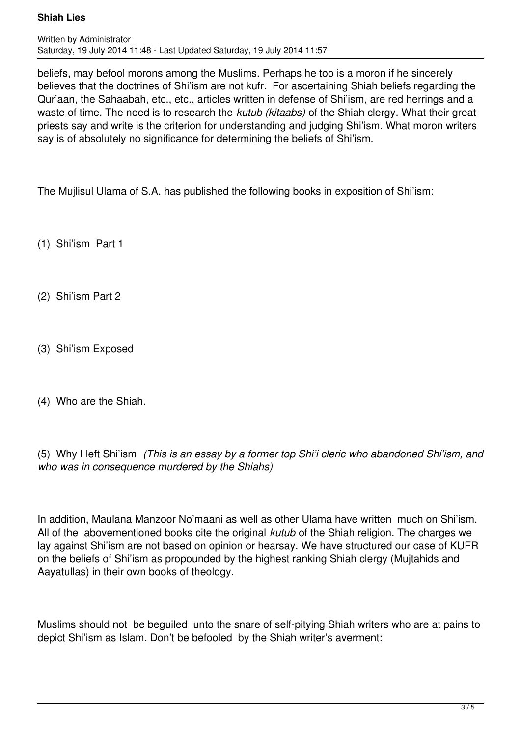## **Shiah Lies**

beliefs, may befool morons among the Muslims. Perhaps he too is a moron if he sincerely believes that the doctrines of Shi'ism are not kufr. For ascertaining Shiah beliefs regarding the Qur'aan, the Sahaabah, etc., etc., articles written in defense of Shi'ism, are red herrings and a waste of time. The need is to research the *kutub (kitaabs)* of the Shiah clergy. What their great priests say and write is the criterion for understanding and judging Shi'ism. What moron writers say is of absolutely no significance for determining the beliefs of Shi'ism.

The Mujlisul Ulama of S.A. has published the following books in exposition of Shi'ism:

(1) Shi'ism Part 1

- (2) Shi'ism Part 2
- (3) Shi'ism Exposed
- (4) Who are the Shiah.

(5) Why I left Shi'ism *(This is an essay by a former top Shi'i cleric who abandoned Shi'ism, and who was in consequence murdered by the Shiahs)*

In addition, Maulana Manzoor No'maani as well as other Ulama have written much on Shi'ism. All of the abovementioned books cite the original *kutub* of the Shiah religion. The charges we lay against Shi'ism are not based on opinion or hearsay. We have structured our case of KUFR on the beliefs of Shi'ism as propounded by the highest ranking Shiah clergy (Mujtahids and Aayatullas) in their own books of theology.

Muslims should not be beguiled unto the snare of self-pitying Shiah writers who are at pains to depict Shi'ism as Islam. Don't be befooled by the Shiah writer's averment: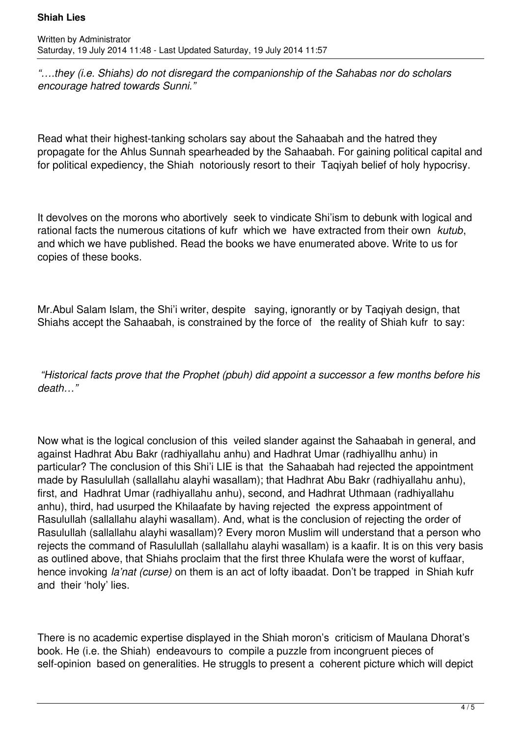## **Shiah Lies**

*"….they (i.e. Shiahs) do not disregard the companionship of the Sahabas nor do scholars encourage hatred towards Sunni."*

Read what their highest-tanking scholars say about the Sahaabah and the hatred they propagate for the Ahlus Sunnah spearheaded by the Sahaabah. For gaining political capital and for political expediency, the Shiah notoriously resort to their Taqiyah belief of holy hypocrisy.

It devolves on the morons who abortively seek to vindicate Shi'ism to debunk with logical and rational facts the numerous citations of kufr which we have extracted from their own *kutub*, and which we have published. Read the books we have enumerated above. Write to us for copies of these books.

Mr. Abul Salam Islam, the Shi'i writer, despite saying, ignorantly or by Taqiyah design, that Shiahs accept the Sahaabah, is constrained by the force of the reality of Shiah kufr to say:

 *"Historical facts prove that the Prophet (pbuh) did appoint a successor a few months before his death…"*

Now what is the logical conclusion of this veiled slander against the Sahaabah in general, and against Hadhrat Abu Bakr (radhiyallahu anhu) and Hadhrat Umar (radhiyallhu anhu) in particular? The conclusion of this Shi'i LIE is that the Sahaabah had rejected the appointment made by Rasulullah (sallallahu alayhi wasallam); that Hadhrat Abu Bakr (radhiyallahu anhu), first, and Hadhrat Umar (radhiyallahu anhu), second, and Hadhrat Uthmaan (radhiyallahu anhu), third, had usurped the Khilaafate by having rejected the express appointment of Rasulullah (sallallahu alayhi wasallam). And, what is the conclusion of rejecting the order of Rasulullah (sallallahu alayhi wasallam)? Every moron Muslim will understand that a person who rejects the command of Rasulullah (sallallahu alayhi wasallam) is a kaafir. It is on this very basis as outlined above, that Shiahs proclaim that the first three Khulafa were the worst of kuffaar, hence invoking *la'nat (curse)* on them is an act of lofty ibaadat. Don't be trapped in Shiah kufr and their 'holy' lies.

There is no academic expertise displayed in the Shiah moron's criticism of Maulana Dhorat's book. He (i.e. the Shiah) endeavours to compile a puzzle from incongruent pieces of self-opinion based on generalities. He struggls to present a coherent picture which will depict